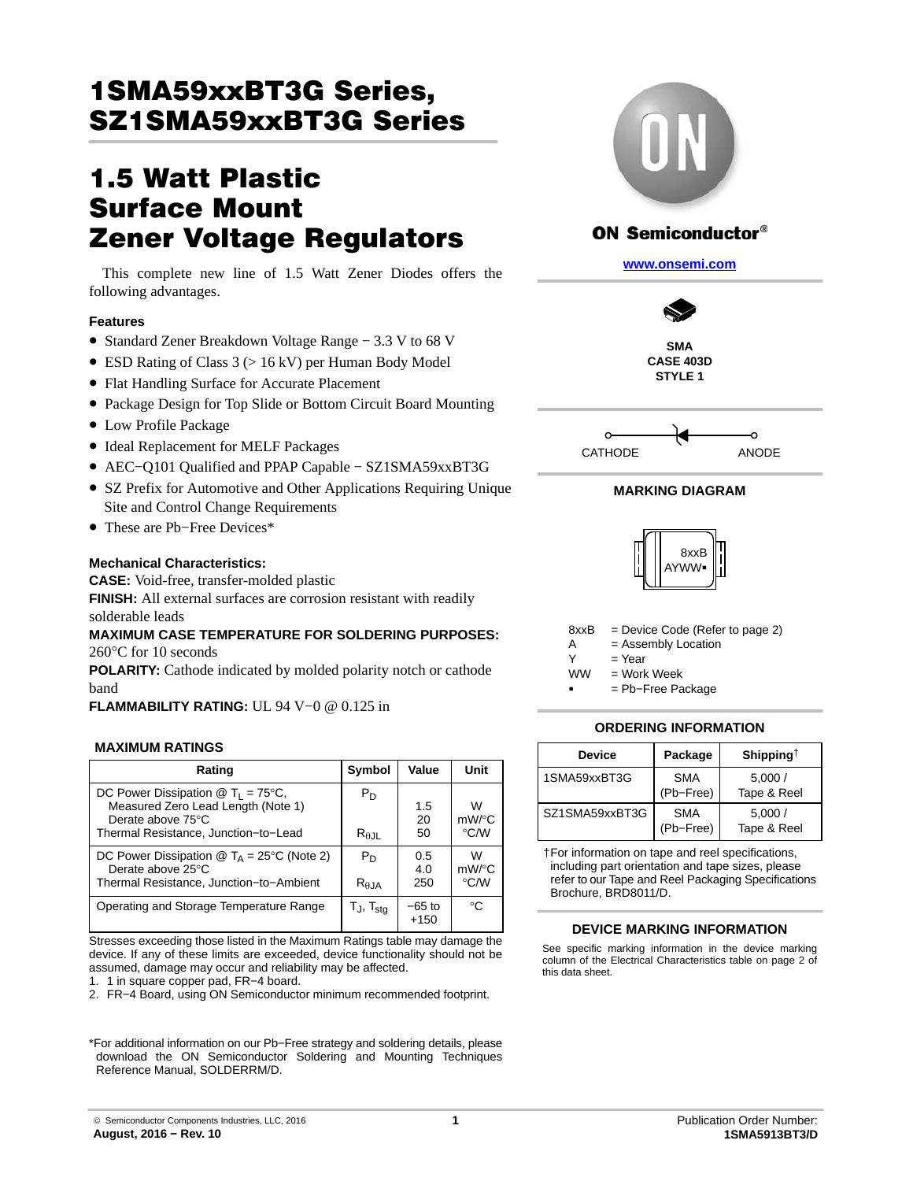# 1SMA59xxBT3G Series, <u>sz : smacrosco s o o o o o o o o</u>

## **1.5 Watt Plastic Surface Mount Zener Voltage Regulators**

This complete new line of 1.5 Watt Zener Diodes offers the following advantages.

## **Features**

- Standard Zener Breakdown Voltage Range − 3.3 V to 68 V
- ESD Rating of Class 3 (> 16 kV) per Human Body Model
- Flat Handling Surface for Accurate Placement
- Package Design for Top Slide or Bottom Circuit Board Mounting
- Low Profile Package
- Ideal Replacement for MELF Packages
- AEC−Q101 Qualified and PPAP Capable − SZ1SMA59xxBT3G
- SZ Prefix for Automotive and Other Applications Requiring Unique Site and Control Change Requirements
- These are Pb−Free Devices\*

## **Mechanical Characteristics:**

**CASE:** Void-free, transfer-molded plastic **FINISH:** All external surfaces are corrosion resistant with readily solderable leads

## **MAXIMUM CASE TEMPERATURE FOR SOLDERING PURPOSES:** 260°C for 10 seconds

**POLARITY:** Cathode indicated by molded polarity notch or cathode band

**FLAMMABILITY RATING:** UL 94 V−0 @ 0.125 in

#### **MAXIMUM RATINGS**

| Rating                                                                                                                                                           | Symbol                          | Value              | Unit                           |
|------------------------------------------------------------------------------------------------------------------------------------------------------------------|---------------------------------|--------------------|--------------------------------|
| DC Power Dissipation $\textcircled{1}$ T <sub>1</sub> = 75°C,<br>Measured Zero Lead Length (Note 1)<br>Derate above 75°C<br>Thermal Resistance, Junction-to-Lead | $P_D$<br>$R_{\theta \text{JL}}$ | 1.5<br>20<br>50    | w<br>$mW$ /°C<br>$\degree$ C/W |
| DC Power Dissipation $\circledR$ T <sub>A</sub> = 25 <sup>o</sup> C (Note 2)<br>Derate above 25°C<br>Thermal Resistance, Junction-to-Ambient                     | $P_D$<br>$R_{\theta,IA}$        | 0.5<br>4.0<br>250  | W<br>$mW$ /°C<br>$\degree$ C/W |
| Operating and Storage Temperature Range                                                                                                                          | $T_J$ , $T_{\text{stq}}$        | $-65$ to<br>$+150$ | $^{\circ}C$                    |

Stresses exceeding those listed in the Maximum Ratings table may damage the device. If any of these limits are exceeded, device functionality should not be assumed, damage may occur and reliability may be affected.

1. 1 in square copper pad, FR−4 board.

2. FR−4 Board, using ON Semiconductor minimum recommended footprint.

\*For additional information on our Pb−Free strategy and soldering details, please download the ON Semiconductor Soldering and Mounting Techniques Reference Manual, SOLDERRM/D.



## **ON Semiconductor®**

**[www.onsemi.com]( http://www.onsemi.com/)**



**STYLE 1**



## **MARKING DIAGRAM**



8xxB = Device Code (Refer to page [2](#page-1-0))

A = Assembly Location

 $Y = Year$ 

- $=$  Work Week **WW** 
	- = Pb−Free Package

#### **ORDERING INFORMATION**

| <b>Device</b>  | Package                 | Shipping <sup>T</sup> |  |  |  |
|----------------|-------------------------|-----------------------|--|--|--|
| 1SMA59xxBT3G   | <b>SMA</b><br>(Pb-Free) | 5,000/<br>Tape & Reel |  |  |  |
| SZ1SMA59xxBT3G | <b>SMA</b><br>(Pb-Free) | 5.000/<br>Tape & Reel |  |  |  |

†For information on tape and reel specifications, including part orientation and tape sizes, please refer to our Tape and Reel Packaging Specifications Brochure, BRD8011/D.

#### **DEVICE MARKING INFORMATION**

See specific marking information in the device marking column of the Electrical Characteristics table on page [2](#page-1-0) of this data sheet.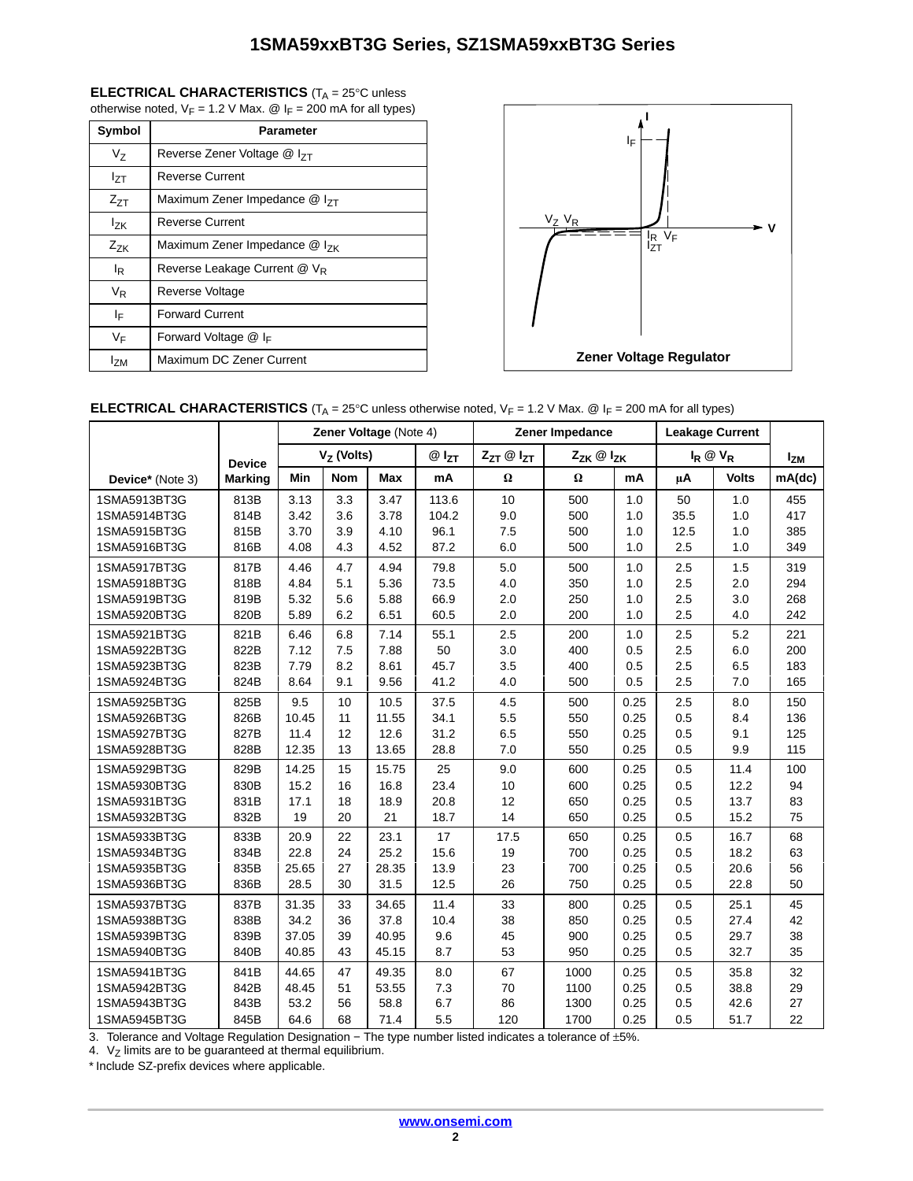## <span id="page-1-0"></span>**ELECTRICAL CHARACTERISTICS** (T<sub>A</sub> = 25°C unless

otherwise noted,  $V_F$  = 1.2 V Max.  $\textcircled{a}$  I<sub>F</sub> = 200 mA for all types)

| Symbol         | <b>Parameter</b>                          |  |  |  |  |  |
|----------------|-------------------------------------------|--|--|--|--|--|
| V <sub>7</sub> | Reverse Zener Voltage @ I <sub>7T</sub>   |  |  |  |  |  |
| Izt            | Reverse Current                           |  |  |  |  |  |
| $Z_{7T}$       | Maximum Zener Impedance $@$ $ _{7T}$      |  |  |  |  |  |
| $I_{7K}$       | <b>Reverse Current</b>                    |  |  |  |  |  |
| $Z_{ZK}$       | Maximum Zener Impedance @ I <sub>7K</sub> |  |  |  |  |  |
| l <sub>R</sub> | Reverse Leakage Current @ V <sub>R</sub>  |  |  |  |  |  |
| V <sub>R</sub> | Reverse Voltage                           |  |  |  |  |  |
| ΙF             | <b>Forward Current</b>                    |  |  |  |  |  |
| VF             | Forward Voltage @ IF                      |  |  |  |  |  |
| <b>IzM</b>     | Maximum DC Zener Current                  |  |  |  |  |  |



## **ELECTRICAL CHARACTERISTICS** (T<sub>A</sub> = 25°C unless otherwise noted, V<sub>F</sub> = 1.2 V Max. @ I<sub>F</sub> = 200 mA for all types)

|                  |                | Zener Voltage (Note 4) |            |            |                     | Zener Impedance         |          |             | <b>Leakage Current</b> |              |        |
|------------------|----------------|------------------------|------------|------------|---------------------|-------------------------|----------|-------------|------------------------|--------------|--------|
|                  | <b>Device</b>  | $VZ$ (Volts)           |            | $@I_{ZT}$  | $Z_{ZT}$ @ $I_{ZT}$ | $Z_{ZK} \otimes I_{ZK}$ |          | $I_R @ V_R$ |                        | <b>Izm</b>   |        |
| Device* (Note 3) | <b>Marking</b> | Min                    | <b>Nom</b> | <b>Max</b> | mA                  | $\Omega$                | $\Omega$ | mA          | μA                     | <b>Volts</b> | mA(dc) |
| 1SMA5913BT3G     | 813B           | 3.13                   | 3.3        | 3.47       | 113.6               | 10                      | 500      | 1.0         | 50                     | 1.0          | 455    |
| 1SMA5914BT3G     | 814B           | 3.42                   | 3.6        | 3.78       | 104.2               | 9.0                     | 500      | 1.0         | 35.5                   | 1.0          | 417    |
| 1SMA5915BT3G     | 815B           | 3.70                   | 3.9        | 4.10       | 96.1                | 7.5                     | 500      | 1.0         | 12.5                   | 1.0          | 385    |
| 1SMA5916BT3G     | 816B           | 4.08                   | 4.3        | 4.52       | 87.2                | 6.0                     | 500      | 1.0         | 2.5                    | 1.0          | 349    |
| 1SMA5917BT3G     | 817B           | 4.46                   | 4.7        | 4.94       | 79.8                | 5.0                     | 500      | 1.0         | 2.5                    | 1.5          | 319    |
| 1SMA5918BT3G     | 818B           | 4.84                   | 5.1        | 5.36       | 73.5                | 4.0                     | 350      | 1.0         | 2.5                    | 2.0          | 294    |
| 1SMA5919BT3G     | 819B           | 5.32                   | 5.6        | 5.88       | 66.9                | 2.0                     | 250      | 1.0         | 2.5                    | 3.0          | 268    |
| 1SMA5920BT3G     | 820B           | 5.89                   | 6.2        | 6.51       | 60.5                | 2.0                     | 200      | 1.0         | 2.5                    | 4.0          | 242    |
| 1SMA5921BT3G     | 821B           | 6.46                   | 6.8        | 7.14       | 55.1                | 2.5                     | 200      | 1.0         | 2.5                    | 5.2          | 221    |
| 1SMA5922BT3G     | 822B           | 7.12                   | 7.5        | 7.88       | 50                  | 3.0                     | 400      | 0.5         | 2.5                    | 6.0          | 200    |
| 1SMA5923BT3G     | 823B           | 7.79                   | 8.2        | 8.61       | 45.7                | 3.5                     | 400      | 0.5         | 2.5                    | 6.5          | 183    |
| 1SMA5924BT3G     | 824B           | 8.64                   | 9.1        | 9.56       | 41.2                | 4.0                     | 500      | 0.5         | 2.5                    | 7.0          | 165    |
| 1SMA5925BT3G     | 825B           | 9.5                    | 10         | 10.5       | 37.5                | 4.5                     | 500      | 0.25        | 2.5                    | 8.0          | 150    |
| 1SMA5926BT3G     | 826B           | 10.45                  | 11         | 11.55      | 34.1                | 5.5                     | 550      | 0.25        | 0.5                    | 8.4          | 136    |
| 1SMA5927BT3G     | 827B           | 11.4                   | 12         | 12.6       | 31.2                | 6.5                     | 550      | 0.25        | 0.5                    | 9.1          | 125    |
| 1SMA5928BT3G     | 828B           | 12.35                  | 13         | 13.65      | 28.8                | 7.0                     | 550      | 0.25        | 0.5                    | 9.9          | 115    |
| 1SMA5929BT3G     | 829B           | 14.25                  | 15         | 15.75      | 25                  | 9.0                     | 600      | 0.25        | 0.5                    | 11.4         | 100    |
| 1SMA5930BT3G     | 830B           | 15.2                   | 16         | 16.8       | 23.4                | 10                      | 600      | 0.25        | 0.5                    | 12.2         | 94     |
| 1SMA5931BT3G     | 831B           | 17.1                   | 18         | 18.9       | 20.8                | 12                      | 650      | 0.25        | 0.5                    | 13.7         | 83     |
| 1SMA5932BT3G     | 832B           | 19                     | 20         | 21         | 18.7                | 14                      | 650      | 0.25        | 0.5                    | 15.2         | 75     |
| 1SMA5933BT3G     | 833B           | 20.9                   | 22         | 23.1       | 17                  | 17.5                    | 650      | 0.25        | 0.5                    | 16.7         | 68     |
| 1SMA5934BT3G     | 834B           | 22.8                   | 24         | 25.2       | 15.6                | 19                      | 700      | 0.25        | 0.5                    | 18.2         | 63     |
| 1SMA5935BT3G     | 835B           | 25.65                  | 27         | 28.35      | 13.9                | 23                      | 700      | 0.25        | 0.5                    | 20.6         | 56     |
| 1SMA5936BT3G     | 836B           | 28.5                   | 30         | 31.5       | 12.5                | 26                      | 750      | 0.25        | 0.5                    | 22.8         | 50     |
| 1SMA5937BT3G     | 837B           | 31.35                  | 33         | 34.65      | 11.4                | 33                      | 800      | 0.25        | 0.5                    | 25.1         | 45     |
| 1SMA5938BT3G     | 838B           | 34.2                   | 36         | 37.8       | 10.4                | 38                      | 850      | 0.25        | 0.5                    | 27.4         | 42     |
| 1SMA5939BT3G     | 839B           | 37.05                  | 39         | 40.95      | 9.6                 | 45                      | 900      | 0.25        | 0.5                    | 29.7         | 38     |
| 1SMA5940BT3G     | 840B           | 40.85                  | 43         | 45.15      | 8.7                 | 53                      | 950      | 0.25        | 0.5                    | 32.7         | 35     |
| 1SMA5941BT3G     | 841B           | 44.65                  | 47         | 49.35      | 8.0                 | 67                      | 1000     | 0.25        | 0.5                    | 35.8         | 32     |
| 1SMA5942BT3G     | 842B           | 48.45                  | 51         | 53.55      | 7.3                 | 70                      | 1100     | 0.25        | 0.5                    | 38.8         | 29     |
| 1SMA5943BT3G     | 843B           | 53.2                   | 56         | 58.8       | 6.7                 | 86                      | 1300     | 0.25        | 0.5                    | 42.6         | 27     |
| 1SMA5945BT3G     | 845B           | 64.6                   | 68         | 71.4       | 5.5                 | 120                     | 1700     | 0.25        | 0.5                    | 51.7         | 22     |

3. Tolerance and Voltage Regulation Designation – The type number listed indicates a tolerance of ±5%.

4.  $V_Z$  limits are to be guaranteed at thermal equilibrium.

\* Include SZ-prefix devices where applicable.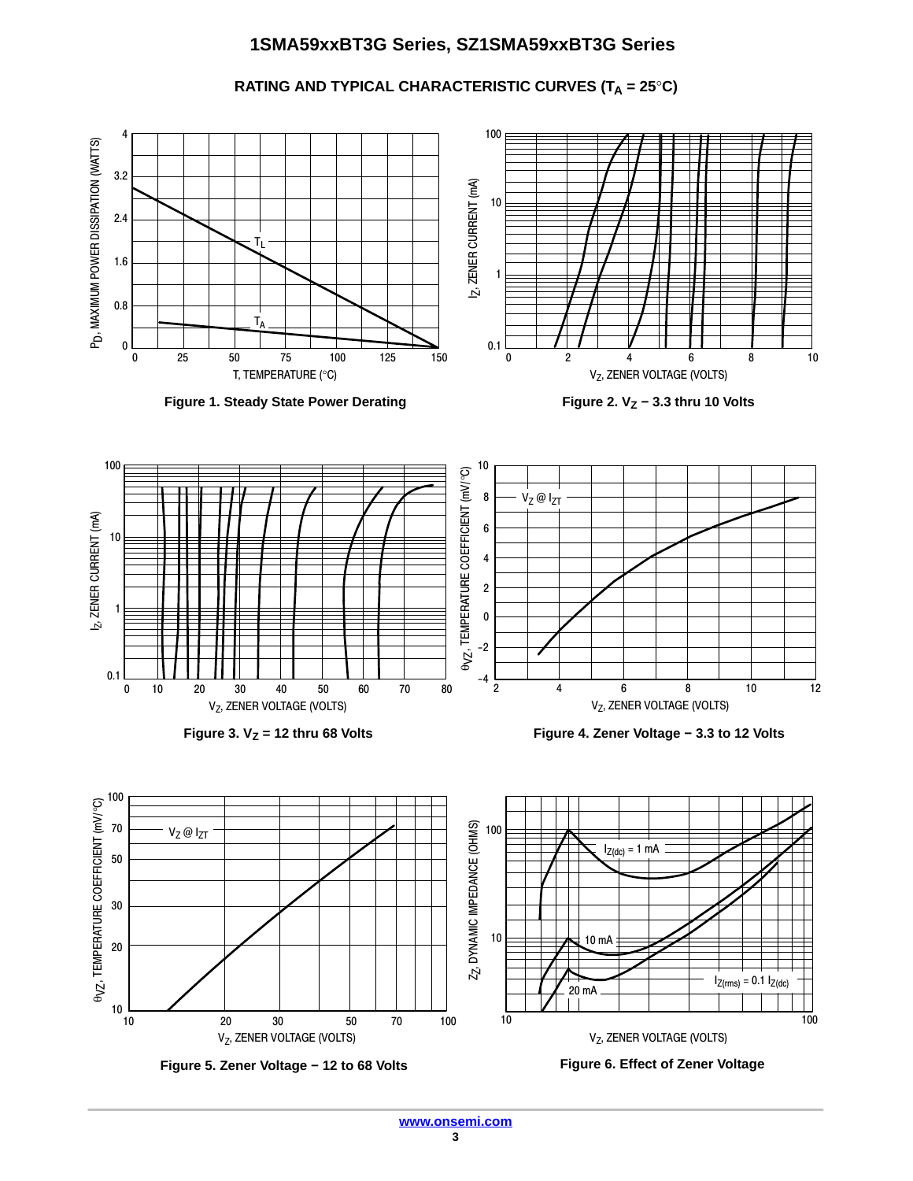RATING AND TYPICAL CHARACTERISTIC CURVES (T<sub>A</sub> = 25°C)





**Figure 5. Zener Voltage − 12 to 68 Volts Figure 6. Effect of Zener Voltage**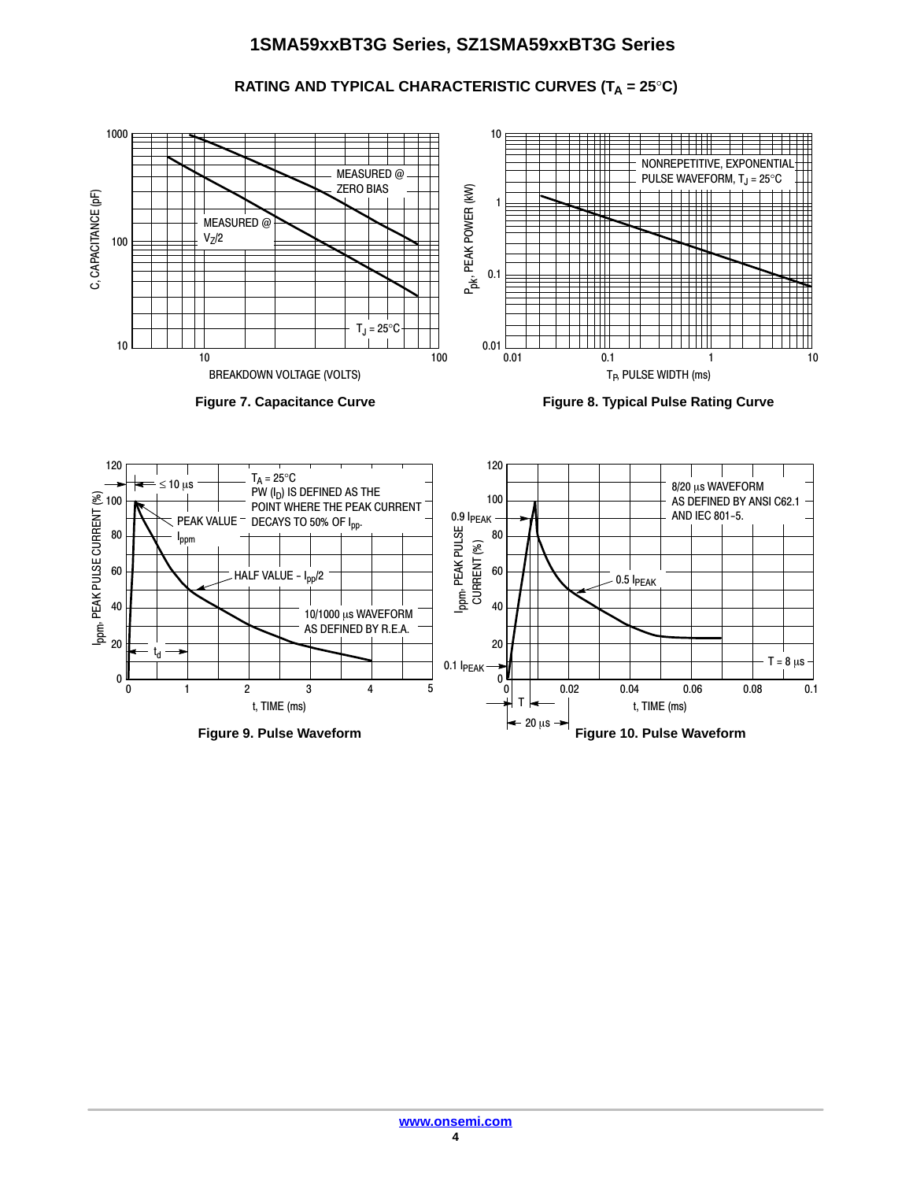**RATING AND TYPICAL CHARACTERISTIC CURVES (T<sub>A</sub> = 25°C)** 



**Figure 9. Pulse Waveform Figure 10. Pulse Waveform**